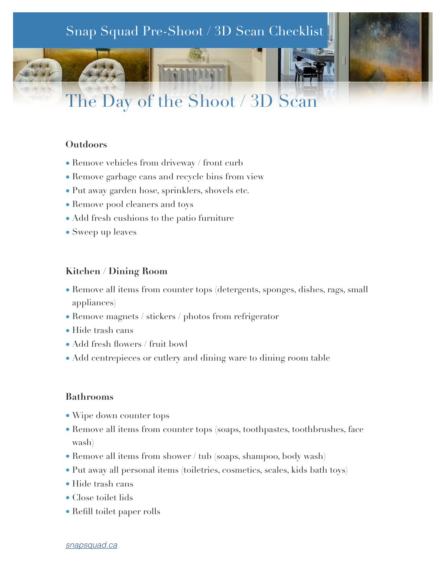# The Day of the Shoot / 3D Scan Snap Squad Pre-Shoot / 3D Scan Checklist

# **Outdoors**

- Remove vehicles from driveway / front curb
- Remove garbage cans and recycle bins from view
- Put away garden hose, sprinklers, shovels etc.
- Remove pool cleaners and toys
- Add fresh cushions to the patio furniture
- Sweep up leaves

### **Kitchen / Dining Room**

- Remove all items from counter tops (detergents, sponges, dishes, rags, small appliances)
- Remove magnets / stickers / photos from refrigerator
- Hide trash cans
- Add fresh flowers / fruit bowl
- Add centrepieces or cutlery and dining ware to dining room table

#### **Bathrooms**

- Wipe down counter tops
- Remove all items from counter tops (soaps, toothpastes, toothbrushes, face wash)
- Remove all items from shower / tub (soaps, shampoo, body wash)
- Put away all personal items (toiletries, cosmetics, scales, kids bath toys)
- Hide trash cans
- Close toilet lids
- Refill toilet paper rolls